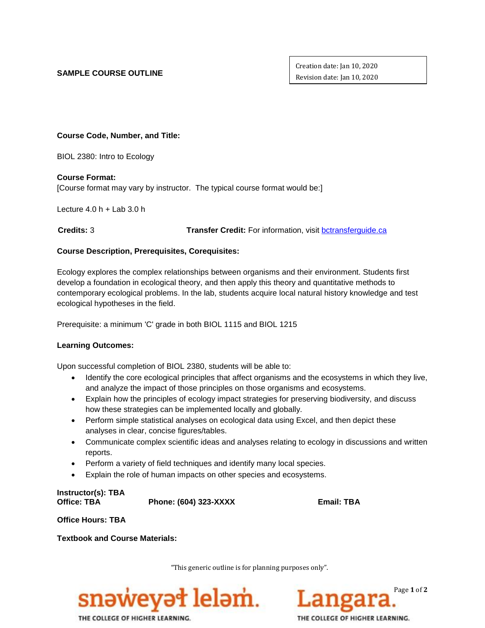## **SAMPLE COURSE OUTLINE**

Creation date: Jan 10, 2020 Revision date: Jan 10, 2020

**Course Code, Number, and Title:**

BIOL 2380: Intro to Ecology

**Course Format:**

[Course format may vary by instructor. The typical course format would be:]

Lecture  $4.0 h +$  Lab  $3.0 h$ 

 **Credits:** 3 **Transfer Credit:** For information, visit [bctransferguide.ca](http://www.bctransferguide.ca/)

# **Course Description, Prerequisites, Corequisites:**

Ecology explores the complex relationships between organisms and their environment. Students first develop a foundation in ecological theory, and then apply this theory and quantitative methods to contemporary ecological problems. In the lab, students acquire local natural history knowledge and test ecological hypotheses in the field.

Prerequisite: a minimum 'C' grade in both BIOL 1115 and BIOL 1215

### **Learning Outcomes:**

Upon successful completion of BIOL 2380, students will be able to:

- Identify the core ecological principles that affect organisms and the ecosystems in which they live, and analyze the impact of those principles on those organisms and ecosystems.
- Explain how the principles of ecology impact strategies for preserving biodiversity, and discuss how these strategies can be implemented locally and globally.
- Perform simple statistical analyses on ecological data using Excel, and then depict these analyses in clear, concise figures/tables.
- Communicate complex scientific ideas and analyses relating to ecology in discussions and written reports.
- Perform a variety of field techniques and identify many local species.
- Explain the role of human impacts on other species and ecosystems.

**Instructor(s): TBA Office: TBA Phone: (604) 323-XXXX Email: TBA**

**Office Hours: TBA**

**Textbook and Course Materials:**

"This generic outline is for planning purposes only".